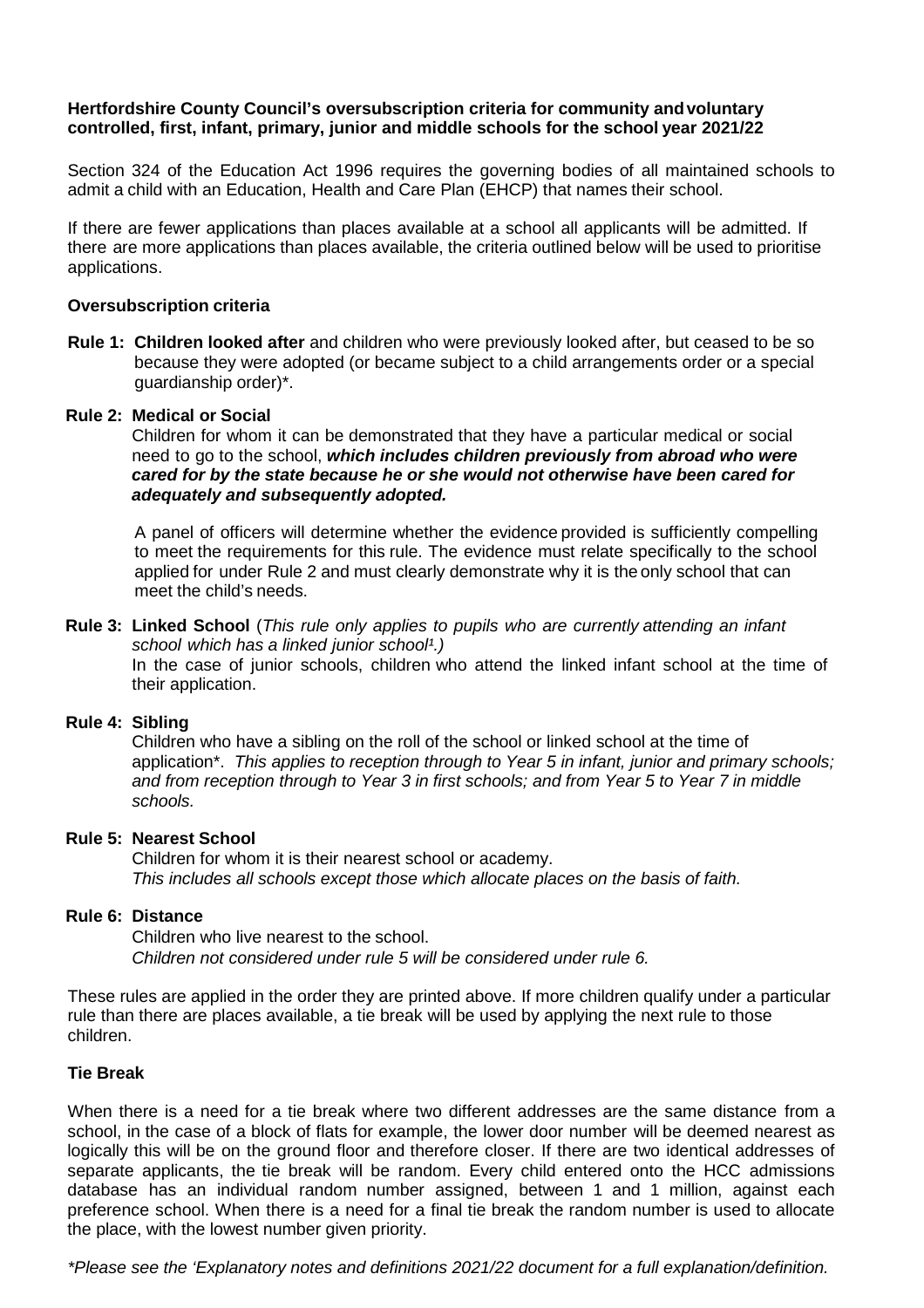# **Hertfordshire County Council's oversubscription criteria for community andvoluntary controlled, first, infant, primary, junior and middle schools for the school year 2021/22**

Section 324 of the Education Act 1996 requires the governing bodies of all maintained schools to admit a child with an Education, Health and Care Plan (EHCP) that names their school.

If there are fewer applications than places available at a school all applicants will be admitted. If there are more applications than places available, the criteria outlined below will be used to prioritise applications.

#### **Oversubscription criteria**

**Rule 1: Children looked after** and children who were previously looked after, but ceased to be so because they were adopted (or became subject to a child arrangements order or a special guardianship order)\*.

#### **Rule 2: Medical or Social**

Children for whom it can be demonstrated that they have a particular medical or social need to go to the school, *which includes children previously from abroad who were cared for by the state because he or she would not otherwise have been cared for adequately and subsequently adopted.*

A panel of officers will determine whether the evidence provided is sufficiently compelling to meet the requirements for this rule. The evidence must relate specifically to the school applied for under Rule 2 and must clearly demonstrate why it is the only school that can meet the child's needs.

#### **Rule 3: Linked School** (*This rule only applies to pupils who are currently attending an infant school which has a linked junior school¹.)* In the case of junior schools, children who attend the linked infant school at the time of their application.

# **Rule 4: Sibling**

Children who have a sibling on the roll of the school or linked school at the time of application\*. *This applies to reception through to Year 5 in infant, junior and primary schools; and from reception through to Year 3 in first schools; and from Year 5 to Year 7 in middle schools.*

### **Rule 5: Nearest School**

Children for whom it is their nearest school or academy. *This includes all schools except those which allocate places on the basis of faith.*

#### **Rule 6: Distance**

Children who live nearest to the school. *Children not considered under rule 5 will be considered under rule 6.*

These rules are applied in the order they are printed above. If more children qualify under a particular rule than there are places available, a tie break will be used by applying the next rule to those children.

# **Tie Break**

When there is a need for a tie break where two different addresses are the same distance from a school, in the case of a block of flats for example, the lower door number will be deemed nearest as logically this will be on the ground floor and therefore closer. If there are two identical addresses of separate applicants, the tie break will be random. Every child entered onto the HCC admissions database has an individual random number assigned, between 1 and 1 million, against each preference school. When there is a need for a final tie break the random number is used to allocate the place, with the lowest number given priority.

*\*Please see the 'Explanatory notes and definitions 2021/22 document for a full explanation/definition.*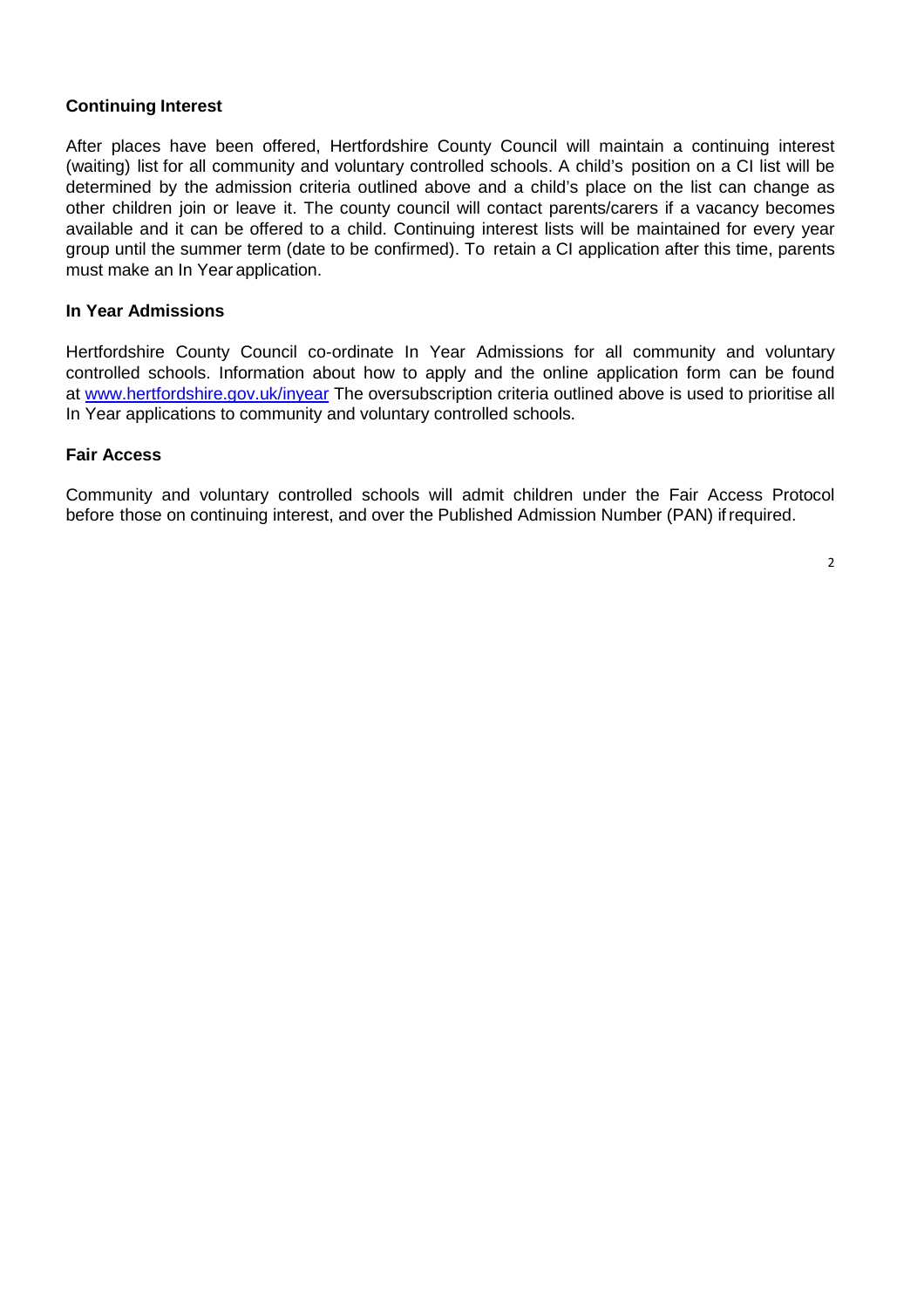### **Continuing Interest**

After places have been offered, Hertfordshire County Council will maintain a continuing interest (waiting) list for all community and voluntary controlled schools. A child's position on a CI list will be determined by the admission criteria outlined above and a child's place on the list can change as other children join or leave it. The county council will contact parents/carers if a vacancy becomes available and it can be offered to a child. Continuing interest lists will be maintained for every year group until the summer term (date to be confirmed). To retain a CI application after this time, parents must make an In Year application.

### **In Year Admissions**

Hertfordshire County Council co-ordinate In Year Admissions for all community and voluntary controlled schools. Information about how to apply and the online application form can be found at [www.hertfordshire.gov.uk/inyear](http://www.hertfordshire.gov.uk/inyear) The oversubscription criteria outlined above is used to prioritise all In Year applications to community and voluntary controlled schools.

#### **Fair Access**

Community and voluntary controlled schools will admit children under the Fair Access Protocol before those on continuing interest, and over the Published Admission Number (PAN) ifrequired.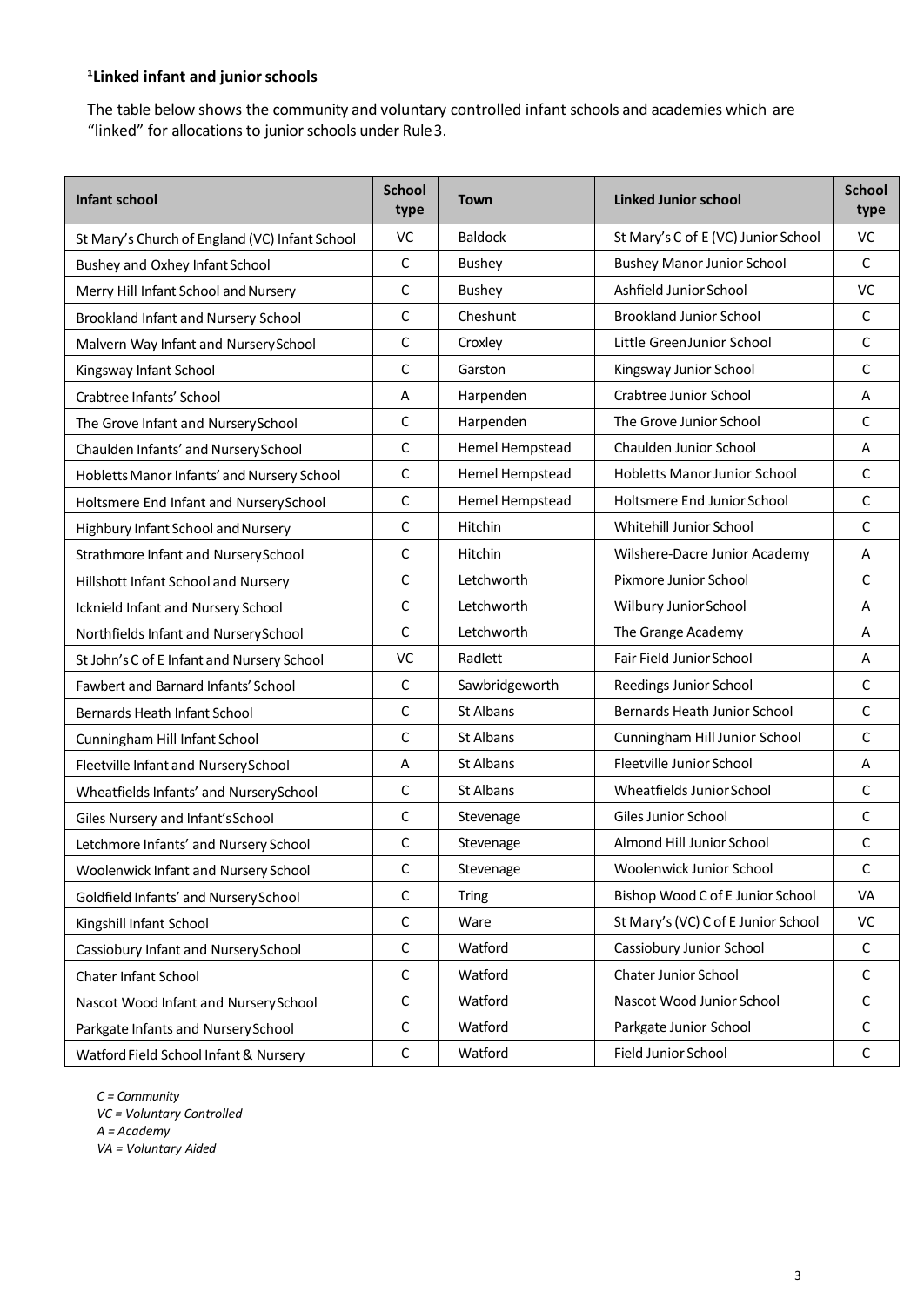# <sup>1</sup> Linked infant and junior schools

The table below shows the community and voluntary controlled infant schools and academies which are "linked" for allocations to junior schools under Rule3.

| Infant school                                  | <b>School</b><br>type | <b>Town</b>     | <b>Linked Junior school</b>         | <b>School</b><br>type |
|------------------------------------------------|-----------------------|-----------------|-------------------------------------|-----------------------|
| St Mary's Church of England (VC) Infant School | VC                    | <b>Baldock</b>  | St Mary's C of E (VC) Junior School | VC                    |
| Bushey and Oxhey Infant School                 | C                     | Bushey          | <b>Bushey Manor Junior School</b>   | C                     |
| Merry Hill Infant School and Nursery           | C                     | <b>Bushey</b>   | Ashfield Junior School              | VC                    |
| Brookland Infant and Nursery School            | C                     | Cheshunt        | <b>Brookland Junior School</b>      | C                     |
| Malvern Way Infant and Nursery School          | C                     | Croxley         | Little GreenJunior School           | C                     |
| Kingsway Infant School                         | C                     | Garston         | Kingsway Junior School              | C                     |
| Crabtree Infants' School                       | Α                     | Harpenden       | Crabtree Junior School              | A                     |
| The Grove Infant and Nursery School            | C                     | Harpenden       | The Grove Junior School             | C                     |
| Chaulden Infants' and Nursery School           | C                     | Hemel Hempstead | Chaulden Junior School              | Α                     |
| Hobletts Manor Infants' and Nursery School     | $\mathsf C$           | Hemel Hempstead | Hobletts Manor Junior School        | C                     |
| Holtsmere End Infant and Nursery School        | C                     | Hemel Hempstead | Holtsmere End Junior School         | C                     |
| Highbury Infant School and Nursery             | C                     | Hitchin         | Whitehill Junior School             | $\mathsf C$           |
| Strathmore Infant and NurserySchool            | C                     | Hitchin         | Wilshere-Dacre Junior Academy       | Α                     |
| Hillshott Infant School and Nursery            | C                     | Letchworth      | Pixmore Junior School               | C                     |
| Icknield Infant and Nursery School             | C                     | Letchworth      | Wilbury Junior School               | Α                     |
| Northfields Infant and NurserySchool           | C                     | Letchworth      | The Grange Academy                  | A                     |
| St John's C of E Infant and Nursery School     | VC                    | Radlett         | Fair Field Junior School            | Α                     |
| Fawbert and Barnard Infants' School            | $\mathsf C$           | Sawbridgeworth  | Reedings Junior School              | C                     |
| Bernards Heath Infant School                   | $\mathsf{C}$          | St Albans       | Bernards Heath Junior School        | C                     |
| Cunningham Hill Infant School                  | C                     | St Albans       | Cunningham Hill Junior School       | $\mathsf{C}$          |
| Fleetville Infant and Nursery School           | Α                     | St Albans       | Fleetville Junior School            | A                     |
| Wheatfields Infants' and NurserySchool         | $\mathsf C$           | St Albans       | Wheatfields Junior School           | C                     |
| Giles Nursery and Infant's School              | C                     | Stevenage       | Giles Junior School                 | C                     |
| Letchmore Infants' and Nursery School          | C                     | Stevenage       | Almond Hill Junior School           | $\mathsf C$           |
| Woolenwick Infant and Nursery School           | $\mathsf C$           | Stevenage       | Woolenwick Junior School            | С                     |
| Goldfield Infants' and Nursery School          | C                     | <b>Tring</b>    | Bishop Wood C of E Junior School    | <b>VA</b>             |
| Kingshill Infant School                        | C                     | Ware            | St Mary's (VC) C of E Junior School | VC                    |
| Cassiobury Infant and NurserySchool            | $\mathsf C$           | Watford         | Cassiobury Junior School            | C                     |
| Chater Infant School                           | $\mathsf C$           | Watford         | Chater Junior School                | $\mathsf C$           |
| Nascot Wood Infant and NurserySchool           | $\mathsf C$           | Watford         | Nascot Wood Junior School           | С                     |
| Parkgate Infants and Nursery School            | $\mathsf C$           | Watford         | Parkgate Junior School              | C                     |
| Watford Field School Infant & Nursery          | $\mathsf C$           | Watford         | Field Junior School                 | $\mathsf C$           |

*C = Community VC = Voluntary Controlled A = Academy VA = Voluntary Aided*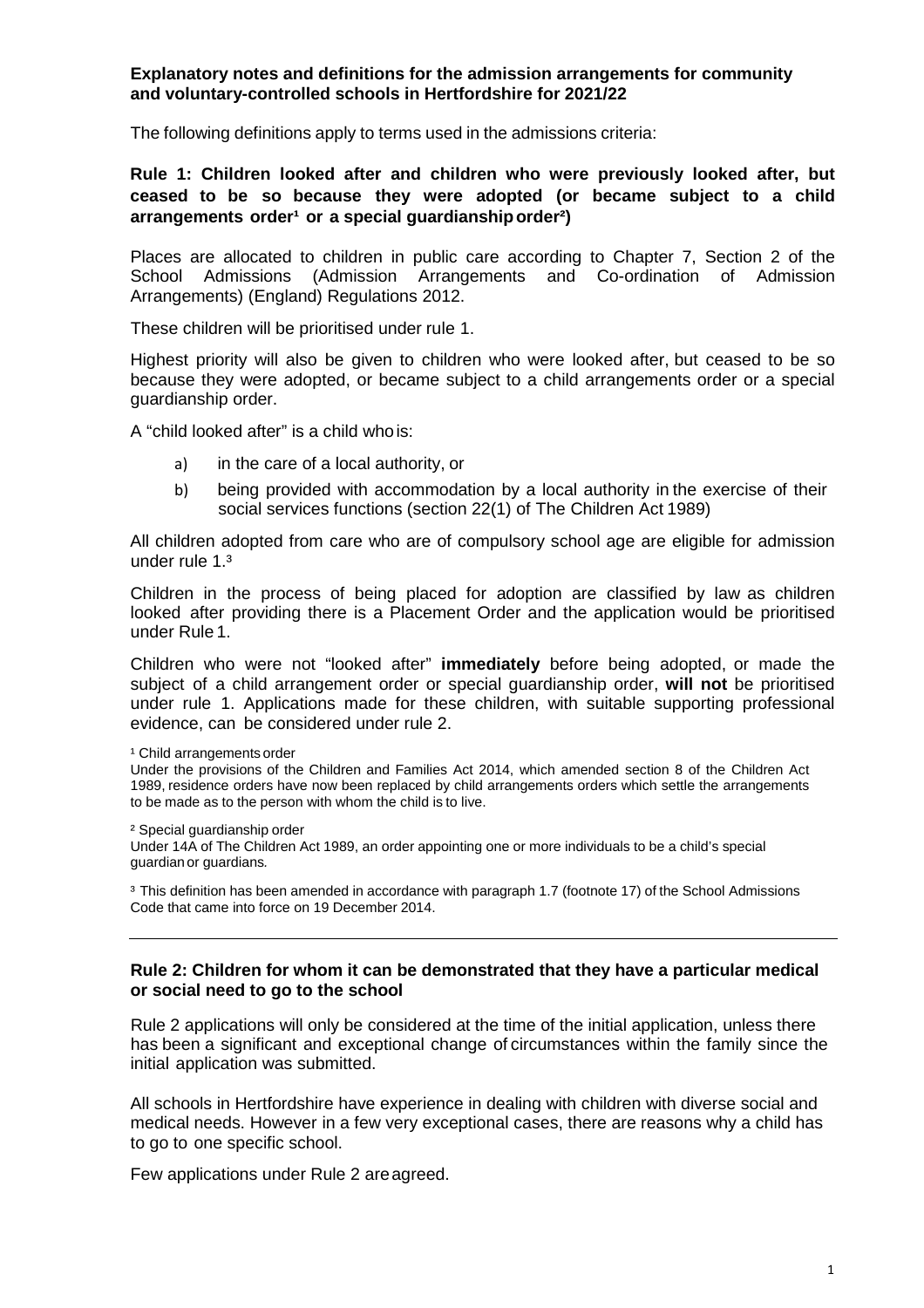### **Explanatory notes and definitions for the admission arrangements for community and voluntary-controlled schools in Hertfordshire for 2021/22**

The following definitions apply to terms used in the admissions criteria:

### **Rule 1: Children looked after and children who were previously looked after, but ceased to be so because they were adopted (or became subject to a child arrangements order<sup>1</sup> or a special guardianship order<sup>2</sup>)**

Places are allocated to children in public care according to Chapter 7, Section 2 of the School Admissions (Admission Arrangements and Co-ordination of Admission Arrangements) (England) Regulations 2012.

These children will be prioritised under rule 1.

Highest priority will also be given to children who were looked after, but ceased to be so because they were adopted, or became subject to a child arrangements order or a special guardianship order.

A "child looked after" is a child whois:

- a) in the care of a local authority, or
- b) being provided with accommodation by a local authority in the exercise of their social services functions (section 22(1) of The Children Act 1989)

All children adopted from care who are of compulsory school age are eligible for admission under rule 1.³

Children in the process of being placed for adoption are classified by law as children looked after providing there is a Placement Order and the application would be prioritised under Rule 1.

Children who were not "looked after" **immediately** before being adopted, or made the subject of a child arrangement order or special guardianship order, **will not** be prioritised under rule 1. Applications made for these children, with suitable supporting professional evidence, can be considered under rule 2.

<sup>1</sup> Child arrangements order

Under the provisions of the Children and Families Act 2014, which amended section 8 of the Children Act 1989, residence orders have now been replaced by child arrangements orders which settle the arrangements to be made as to the person with whom the child is to live.

² Special guardianship order

Under 14A of The Children Act 1989, an order appointing one or more individuals to be a child's special guardianor guardians*.*

<sup>3</sup> This definition has been amended in accordance with paragraph 1.7 (footnote 17) of the School Admissions Code that came into force on 19 December 2014.

#### **Rule 2: Children for whom it can be demonstrated that they have a particular medical or social need to go to the school**

Rule 2 applications will only be considered at the time of the initial application, unless there has been a significant and exceptional change of circumstances within the family since the initial application was submitted.

All schools in Hertfordshire have experience in dealing with children with diverse social and medical needs. However in a few very exceptional cases, there are reasons why a child has to go to one specific school.

Few applications under Rule 2 areagreed.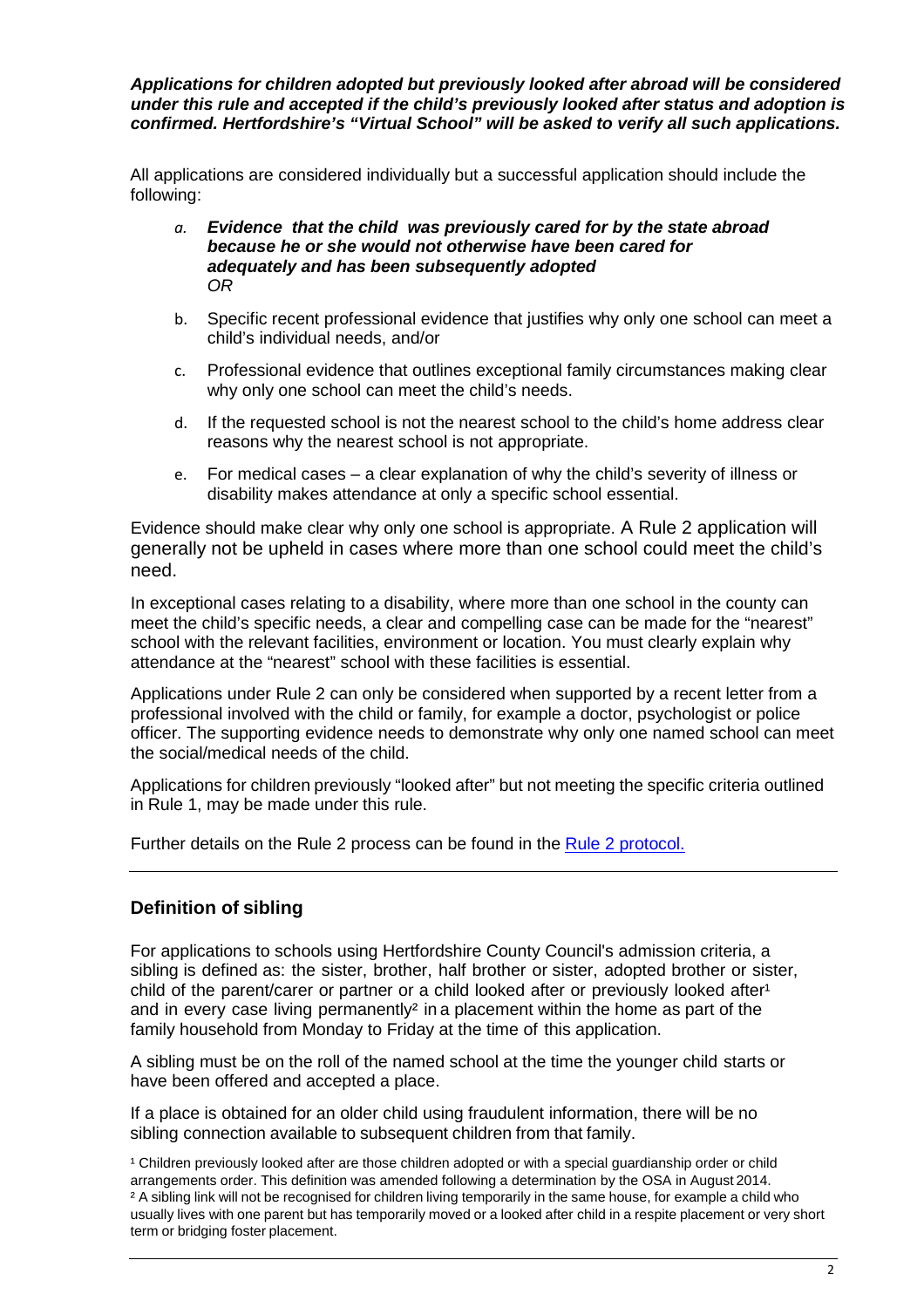*Applications for children adopted but previously looked after abroad will be considered under this rule and accepted if the child's previously looked after status and adoption is confirmed. Hertfordshire's "Virtual School" will be asked to verify all such applications.*

All applications are considered individually but a successful application should include the following:

- *a. Evidence that the child was previously cared for by the state abroad because he or she would not otherwise have been cared for adequately and has been subsequently adopted OR*
- b. Specific recent professional evidence that justifies why only one school can meet a child's individual needs, and/or
- c. Professional evidence that outlines exceptional family circumstances making clear why only one school can meet the child's needs.
- d. If the requested school is not the nearest school to the child's home address clear reasons why the nearest school is not appropriate.
- e. For medical cases a clear explanation of why the child's severity of illness or disability makes attendance at only a specific school essential.

Evidence should make clear why only one school is appropriate. A Rule 2 application will generally not be upheld in cases where more than one school could meet the child's need.

In exceptional cases relating to a disability, where more than one school in the county can meet the child's specific needs, a clear and compelling case can be made for the "nearest" school with the relevant facilities, environment or location. You must clearly explain why attendance at the "nearest" school with these facilities is essential.

Applications under Rule 2 can only be considered when supported by a recent letter from a professional involved with the child or family, for example a doctor, psychologist or police officer. The supporting evidence needs to demonstrate why only one named school can meet the social/medical needs of the child.

Applications for children previously "looked after" but not meeting the specific criteria outlined in Rule 1, may be made under this rule.

Further details on the Rule 2 process can be found in the Rule 2 [protocol.](https://www.hertfordshire.gov.uk/media-library/documents/schools-and-education/admissions/rule-2-protocol.pdf)

# **Definition of sibling**

For applications to schools using Hertfordshire County Council's admission criteria, a sibling is defined as: the sister, brother, half brother or sister, adopted brother or sister, child of the parent/carer or partner or a child looked after or previously looked after<sup>1</sup> and in every case living permanently<sup>2</sup> in a placement within the home as part of the family household from Monday to Friday at the time of this application.

A sibling must be on the roll of the named school at the time the younger child starts or have been offered and accepted a place.

If a place is obtained for an older child using fraudulent information, there will be no sibling connection available to subsequent children from that family.

<sup>1</sup> Children previously looked after are those children adopted or with a special guardianship order or child arrangements order. This definition was amended following a determination by the OSA in August 2014. <sup>2</sup> A sibling link will not be recognised for children living temporarily in the same house, for example a child who usually lives with one parent but has temporarily moved or a looked after child in a respite placement or very short term or bridging foster placement.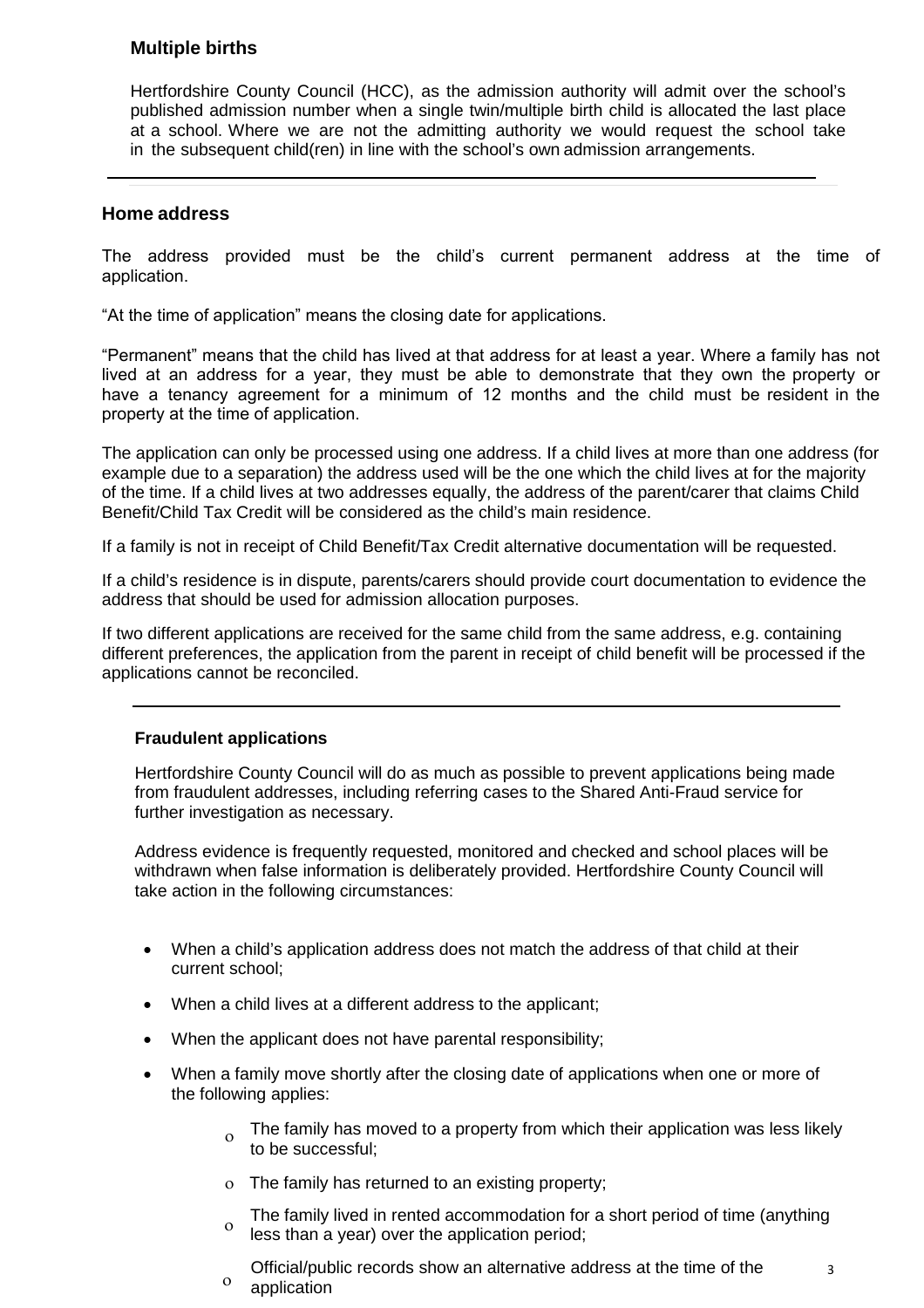# **Multiple births**

Hertfordshire County Council (HCC), as the admission authority will admit over the school's published admission number when a single twin/multiple birth child is allocated the last place at a school. Where we are not the admitting authority we would request the school take in the subsequent child(ren) in line with the school's own admission arrangements.

# **Home address**

The address provided must be the child's current permanent address at the time of application.

"At the time of application" means the closing date for applications.

"Permanent" means that the child has lived at that address for at least a year. Where a family has not lived at an address for a year, they must be able to demonstrate that they own the property or have a tenancy agreement for a minimum of 12 months and the child must be resident in the property at the time of application.

The application can only be processed using one address. If a child lives at more than one address (for example due to a separation) the address used will be the one which the child lives at for the majority of the time. If a child lives at two addresses equally, the address of the parent/carer that claims Child Benefit/Child Tax Credit will be considered as the child's main residence.

If a family is not in receipt of Child Benefit/Tax Credit alternative documentation will be requested.

If a child's residence is in dispute, parents/carers should provide court documentation to evidence the address that should be used for admission allocation purposes.

If two different applications are received for the same child from the same address, e.g. containing different preferences, the application from the parent in receipt of child benefit will be processed if the applications cannot be reconciled.

# **Fraudulent applications**

Hertfordshire County Council will do as much as possible to prevent applications being made from fraudulent addresses, including referring cases to the Shared Anti-Fraud service for further investigation as necessary.

Address evidence is frequently requested, monitored and checked and school places will be withdrawn when false information is deliberately provided. Hertfordshire County Council will take action in the following circumstances:

- When a child's application address does not match the address of that child at their current school;
- When a child lives at a different address to the applicant;
- When the applicant does not have parental responsibility;
- When a family move shortly after the closing date of applications when one or more of the following applies:
	- $\sigma$  The family has moved to a property from which their application was less likely to be successful;
	- ο The family has returned to an existing property;
	- The family lived in rented accommodation for a short period of time (anything  $\frac{0}{100}$  less than a vess) over the anglication period: less than a year) over the application period;
	- ο Official/public records show an alternative address at the time of the application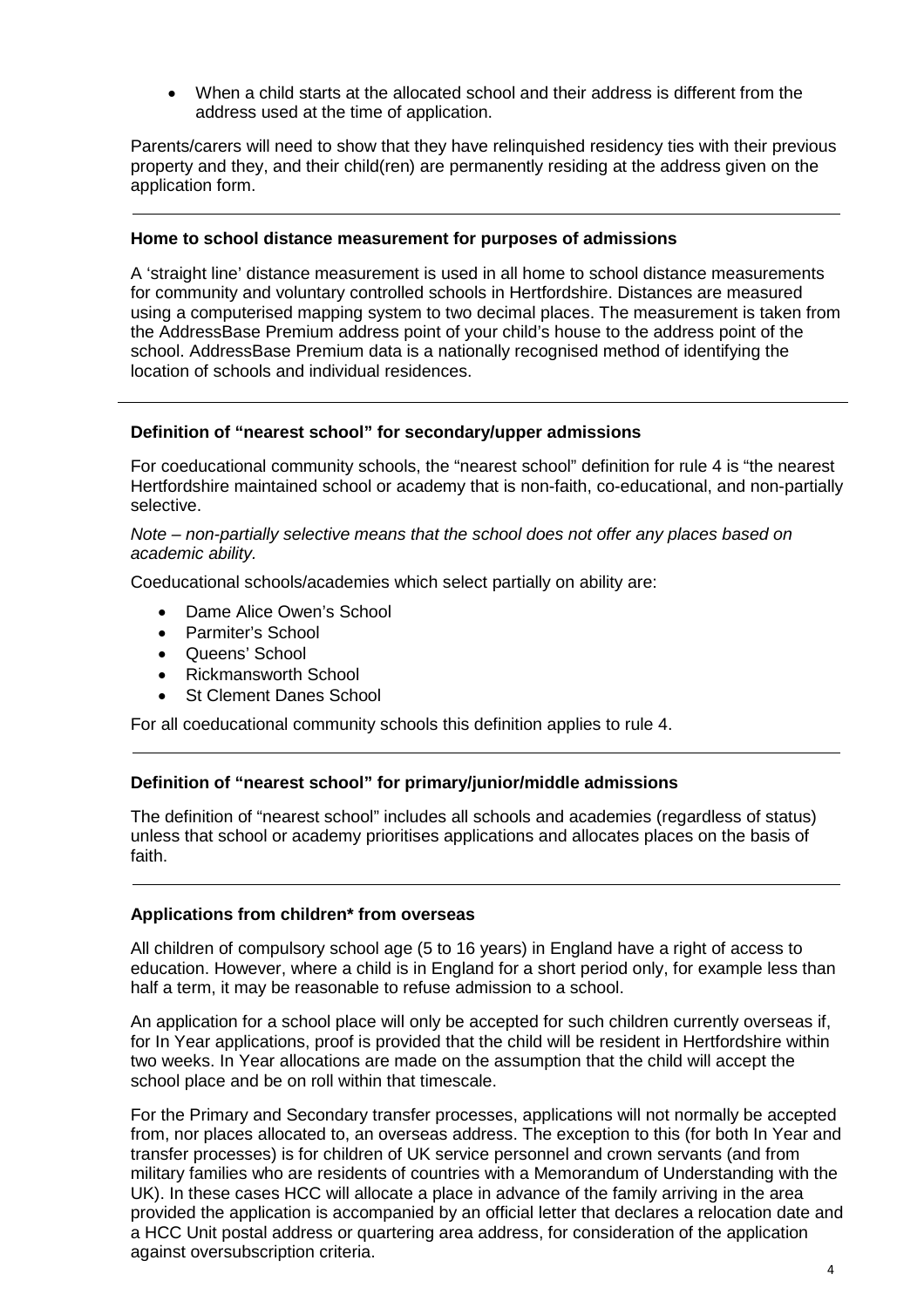• When a child starts at the allocated school and their address is different from the address used at the time of application.

Parents/carers will need to show that they have relinquished residency ties with their previous property and they, and their child(ren) are permanently residing at the address given on the application form.

### **Home to school distance measurement for purposes of admissions**

A 'straight line' distance measurement is used in all home to school distance measurements for community and voluntary controlled schools in Hertfordshire. Distances are measured using a computerised mapping system to two decimal places. The measurement is taken from the AddressBase Premium address point of your child's house to the address point of the school. AddressBase Premium data is a nationally recognised method of identifying the location of schools and individual residences.

# **Definition of "nearest school" for secondary/upper admissions**

For coeducational community schools, the "nearest school" definition for rule 4 is "the nearest Hertfordshire maintained school or academy that is non-faith, co-educational, and non-partially selective.

*Note – non-partially selective means that the school does not offer any places based on academic ability.*

Coeducational schools/academies which select partially on ability are:

- Dame Alice Owen's School
- Parmiter's School
- Queens' School
- Rickmansworth School
- **St Clement Danes School**

For all coeducational community schools this definition applies to rule 4.

#### **Definition of "nearest school" for primary/junior/middle admissions**

The definition of "nearest school" includes all schools and academies (regardless of status) unless that school or academy prioritises applications and allocates places on the basis of faith.

#### **Applications from children\* from overseas**

All children of compulsory school age (5 to 16 years) in England have a right of access to education. However, where a child is in England for a short period only, for example less than half a term, it may be reasonable to refuse admission to a school.

An application for a school place will only be accepted for such children currently overseas if, for In Year applications, proof is provided that the child will be resident in Hertfordshire within two weeks. In Year allocations are made on the assumption that the child will accept the school place and be on roll within that timescale.

For the Primary and Secondary transfer processes, applications will not normally be accepted from, nor places allocated to, an overseas address. The exception to this (for both In Year and transfer processes) is for children of UK service personnel and crown servants (and from military families who are residents of countries with a Memorandum of Understanding with the UK). In these cases HCC will allocate a place in advance of the family arriving in the area provided the application is accompanied by an official letter that declares a relocation date and a HCC Unit postal address or quartering area address, for consideration of the application against oversubscription criteria.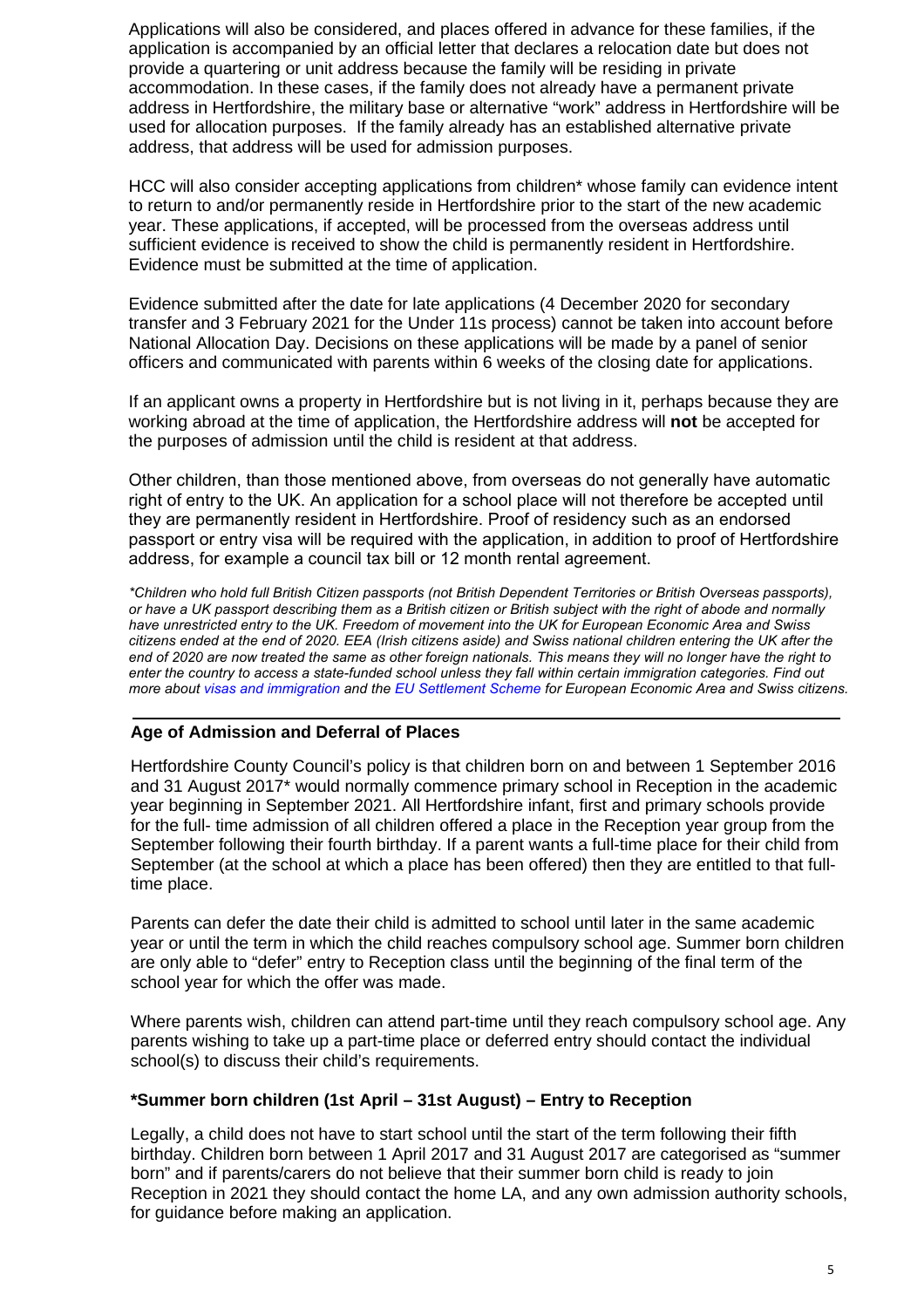Applications will also be considered, and places offered in advance for these families, if the application is accompanied by an official letter that declares a relocation date but does not provide a quartering or unit address because the family will be residing in private accommodation. In these cases, if the family does not already have a permanent private address in Hertfordshire, the military base or alternative "work" address in Hertfordshire will be used for allocation purposes. If the family already has an established alternative private address, that address will be used for admission purposes.

HCC will also consider accepting applications from children\* whose family can evidence intent to return to and/or permanently reside in Hertfordshire prior to the start of the new academic year. These applications, if accepted, will be processed from the overseas address until sufficient evidence is received to show the child is permanently resident in Hertfordshire. Evidence must be submitted at the time of application.

Evidence submitted after the date for late applications (4 December 2020 for secondary transfer and 3 February 2021 for the Under 11s process) cannot be taken into account before National Allocation Day. Decisions on these applications will be made by a panel of senior officers and communicated with parents within 6 weeks of the closing date for applications.

If an applicant owns a property in Hertfordshire but is not living in it, perhaps because they are working abroad at the time of application, the Hertfordshire address will **not** be accepted for the purposes of admission until the child is resident at that address.

Other children, than those mentioned above, from overseas do not generally have automatic right of entry to the UK. An application for a school place will not therefore be accepted until they are permanently resident in Hertfordshire. Proof of residency such as an endorsed passport or entry visa will be required with the application, in addition to proof of Hertfordshire address, for example a council tax bill or 12 month rental agreement.

*\*Children who hold full British Citizen passports (not British Dependent Territories or British Overseas passports),*  or have a UK passport describing them as a British citizen or British subject with the right of abode and normally have unrestricted entry to the UK. Freedom of movement into the UK for European Economic Area and Swiss citizens ended at the end of 2020. EEA (Irish citizens aside) and Swiss national children entering the UK after the end of 2020 are now treated the same as other foreign nationals. This means they will no longer have the right to enter the country to access a state-funded school unless they fall within certain immigration categories. Find out *more about visas and [immigration](https://www.gov.uk/browse/visas-immigration) and the EU [Settlement](https://www.gov.uk/settled-status-eu-citizens-families) Scheme for European Economic Area and Swiss citizens.*

# **Age of Admission and Deferral of Places**

Hertfordshire County Council's policy is that children born on and between 1 September 2016 and 31 August 2017\* would normally commence primary school in Reception in the academic year beginning in September 2021. All Hertfordshire infant, first and primary schools provide for the full- time admission of all children offered a place in the Reception year group from the September following their fourth birthday. If a parent wants a full-time place for their child from September (at the school at which a place has been offered) then they are entitled to that fulltime place.

Parents can defer the date their child is admitted to school until later in the same academic year or until the term in which the child reaches compulsory school age. Summer born children are only able to "defer" entry to Reception class until the beginning of the final term of the school year for which the offer was made.

Where parents wish, children can attend part-time until they reach compulsory school age. Any parents wishing to take up a part-time place or deferred entry should contact the individual school(s) to discuss their child's requirements.

# **\*Summer born children (1st April – 31st August) – Entry to Reception**

Legally, a child does not have to start school until the start of the term following their fifth birthday. Children born between 1 April 2017 and 31 August 2017 are categorised as "summer born" and if parents/carers do not believe that their summer born child is ready to join Reception in 2021 they should contact the home LA, and any own admission authority schools, for guidance before making an application.